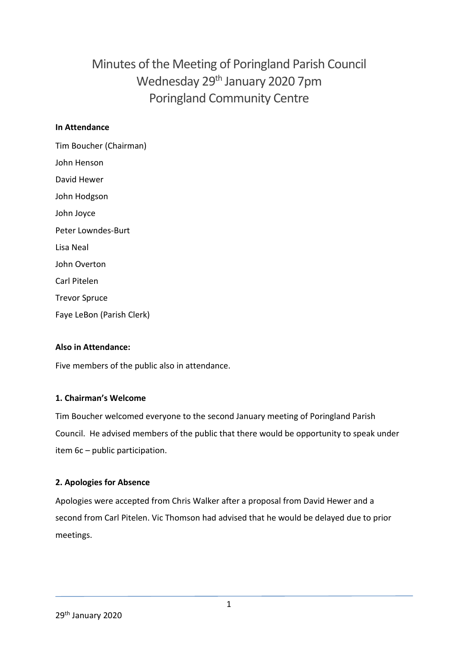# Minutes of the Meeting of Poringland Parish Council Wednesday 29<sup>th</sup> January 2020 7pm Poringland Community Centre

#### **In Attendance**

Tim Boucher (Chairman) John Henson David Hewer John Hodgson John Joyce Peter Lowndes-Burt Lisa Neal John Overton Carl Pitelen Trevor Spruce Faye LeBon (Parish Clerk)

# **Also in Attendance:**

Five members of the public also in attendance.

#### **1. Chairman's Welcome**

Tim Boucher welcomed everyone to the second January meeting of Poringland Parish Council. He advised members of the public that there would be opportunity to speak under item 6c – public participation.

#### **2. Apologies for Absence**

Apologies were accepted from Chris Walker after a proposal from David Hewer and a second from Carl Pitelen. Vic Thomson had advised that he would be delayed due to prior meetings.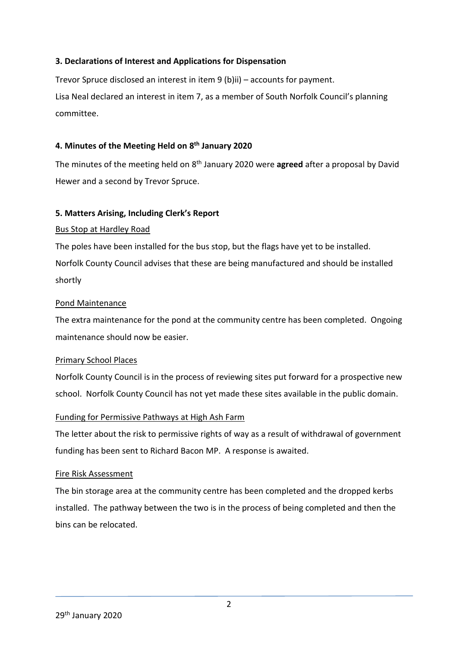#### **3. Declarations of Interest and Applications for Dispensation**

Trevor Spruce disclosed an interest in item 9 (b)ii) – accounts for payment. Lisa Neal declared an interest in item 7, as a member of South Norfolk Council's planning committee.

### **4. Minutes of the Meeting Held on 8 th January 2020**

The minutes of the meeting held on 8<sup>th</sup> January 2020 were **agreed** after a proposal by David Hewer and a second by Trevor Spruce.

#### **5. Matters Arising, Including Clerk's Report**

### Bus Stop at Hardley Road

The poles have been installed for the bus stop, but the flags have yet to be installed. Norfolk County Council advises that these are being manufactured and should be installed shortly

### Pond Maintenance

The extra maintenance for the pond at the community centre has been completed. Ongoing maintenance should now be easier.

# Primary School Places

Norfolk County Council is in the process of reviewing sites put forward for a prospective new school. Norfolk County Council has not yet made these sites available in the public domain.

# Funding for Permissive Pathways at High Ash Farm

The letter about the risk to permissive rights of way as a result of withdrawal of government funding has been sent to Richard Bacon MP. A response is awaited.

#### Fire Risk Assessment

The bin storage area at the community centre has been completed and the dropped kerbs installed. The pathway between the two is in the process of being completed and then the bins can be relocated.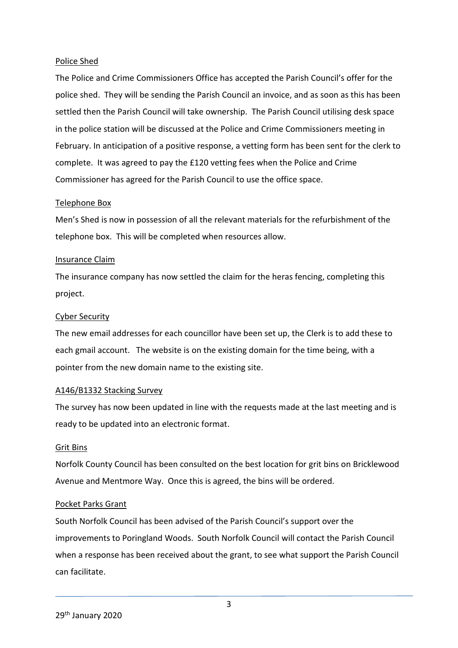#### Police Shed

The Police and Crime Commissioners Office has accepted the Parish Council's offer for the police shed. They will be sending the Parish Council an invoice, and as soon as this has been settled then the Parish Council will take ownership. The Parish Council utilising desk space in the police station will be discussed at the Police and Crime Commissioners meeting in February. In anticipation of a positive response, a vetting form has been sent for the clerk to complete. It was agreed to pay the £120 vetting fees when the Police and Crime Commissioner has agreed for the Parish Council to use the office space.

#### Telephone Box

Men's Shed is now in possession of all the relevant materials for the refurbishment of the telephone box. This will be completed when resources allow.

#### Insurance Claim

The insurance company has now settled the claim for the heras fencing, completing this project.

#### Cyber Security

The new email addresses for each councillor have been set up, the Clerk is to add these to each gmail account. The website is on the existing domain for the time being, with a pointer from the new domain name to the existing site.

#### A146/B1332 Stacking Survey

The survey has now been updated in line with the requests made at the last meeting and is ready to be updated into an electronic format.

#### Grit Bins

Norfolk County Council has been consulted on the best location for grit bins on Bricklewood Avenue and Mentmore Way. Once this is agreed, the bins will be ordered.

#### Pocket Parks Grant

South Norfolk Council has been advised of the Parish Council's support over the improvements to Poringland Woods. South Norfolk Council will contact the Parish Council when a response has been received about the grant, to see what support the Parish Council can facilitate.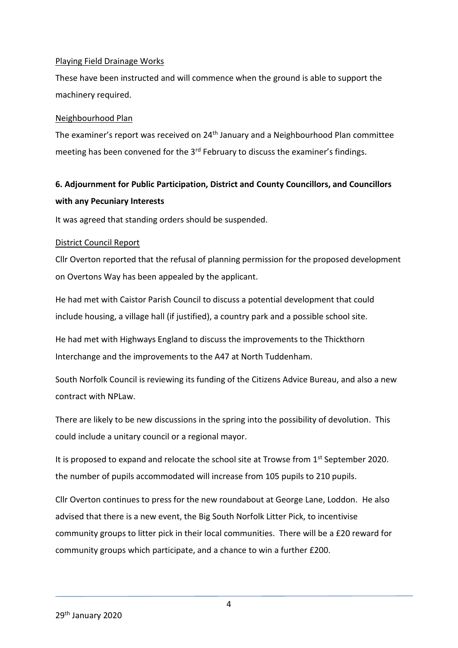#### Playing Field Drainage Works

These have been instructed and will commence when the ground is able to support the machinery required.

#### Neighbourhood Plan

The examiner's report was received on 24<sup>th</sup> January and a Neighbourhood Plan committee meeting has been convened for the  $3<sup>rd</sup>$  February to discuss the examiner's findings.

# **6. Adjournment for Public Participation, District and County Councillors, and Councillors with any Pecuniary Interests**

It was agreed that standing orders should be suspended.

### District Council Report

Cllr Overton reported that the refusal of planning permission for the proposed development on Overtons Way has been appealed by the applicant.

He had met with Caistor Parish Council to discuss a potential development that could include housing, a village hall (if justified), a country park and a possible school site.

He had met with Highways England to discuss the improvements to the Thickthorn Interchange and the improvements to the A47 at North Tuddenham.

South Norfolk Council is reviewing its funding of the Citizens Advice Bureau, and also a new contract with NPLaw.

There are likely to be new discussions in the spring into the possibility of devolution. This could include a unitary council or a regional mayor.

It is proposed to expand and relocate the school site at Trowse from  $1<sup>st</sup>$  September 2020. the number of pupils accommodated will increase from 105 pupils to 210 pupils.

Cllr Overton continues to press for the new roundabout at George Lane, Loddon. He also advised that there is a new event, the Big South Norfolk Litter Pick, to incentivise community groups to litter pick in their local communities. There will be a £20 reward for community groups which participate, and a chance to win a further £200.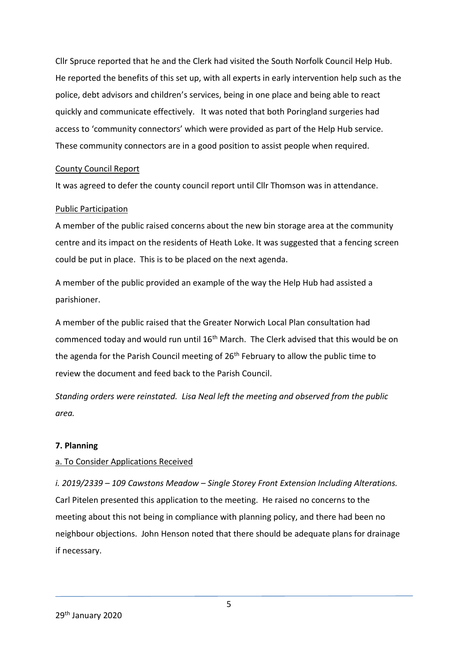Cllr Spruce reported that he and the Clerk had visited the South Norfolk Council Help Hub. He reported the benefits of this set up, with all experts in early intervention help such as the police, debt advisors and children's services, being in one place and being able to react quickly and communicate effectively. It was noted that both Poringland surgeries had access to 'community connectors' which were provided as part of the Help Hub service. These community connectors are in a good position to assist people when required.

#### County Council Report

It was agreed to defer the county council report until Cllr Thomson was in attendance.

#### Public Participation

A member of the public raised concerns about the new bin storage area at the community centre and its impact on the residents of Heath Loke. It was suggested that a fencing screen could be put in place. This is to be placed on the next agenda.

A member of the public provided an example of the way the Help Hub had assisted a parishioner.

A member of the public raised that the Greater Norwich Local Plan consultation had commenced today and would run until 16<sup>th</sup> March. The Clerk advised that this would be on the agenda for the Parish Council meeting of  $26<sup>th</sup>$  February to allow the public time to review the document and feed back to the Parish Council.

*Standing orders were reinstated. Lisa Neal left the meeting and observed from the public area.*

#### **7. Planning**

#### a. To Consider Applications Received

*i. 2019/2339 – 109 Cawstons Meadow – Single Storey Front Extension Including Alterations.* Carl Pitelen presented this application to the meeting. He raised no concerns to the meeting about this not being in compliance with planning policy, and there had been no neighbour objections. John Henson noted that there should be adequate plans for drainage if necessary.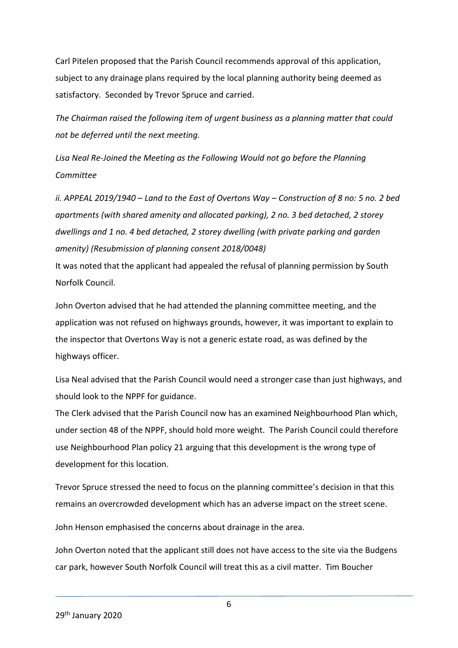Carl Pitelen proposed that the Parish Council recommends approval of this application, subject to any drainage plans required by the local planning authority being deemed as satisfactory. Seconded by Trevor Spruce and carried.

*The Chairman raised the following item of urgent business as a planning matter that could not be deferred until the next meeting.* 

*Lisa Neal Re-Joined the Meeting as the Following Would not go before the Planning Committee*

*ii. APPEAL 2019/1940 – Land to the East of Overtons Way – Construction of 8 no: 5 no. 2 bed apartments (with shared amenity and allocated parking), 2 no. 3 bed detached, 2 storey dwellings and 1 no. 4 bed detached, 2 storey dwelling (with private parking and garden amenity) (Resubmission of planning consent 2018/0048)*

It was noted that the applicant had appealed the refusal of planning permission by South Norfolk Council.

John Overton advised that he had attended the planning committee meeting, and the application was not refused on highways grounds, however, it was important to explain to the inspector that Overtons Way is not a generic estate road, as was defined by the highways officer.

Lisa Neal advised that the Parish Council would need a stronger case than just highways, and should look to the NPPF for guidance.

The Clerk advised that the Parish Council now has an examined Neighbourhood Plan which, under section 48 of the NPPF, should hold more weight. The Parish Council could therefore use Neighbourhood Plan policy 21 arguing that this development is the wrong type of development for this location.

Trevor Spruce stressed the need to focus on the planning committee's decision in that this remains an overcrowded development which has an adverse impact on the street scene.

John Henson emphasised the concerns about drainage in the area.

John Overton noted that the applicant still does not have access to the site via the Budgens car park, however South Norfolk Council will treat this as a civil matter. Tim Boucher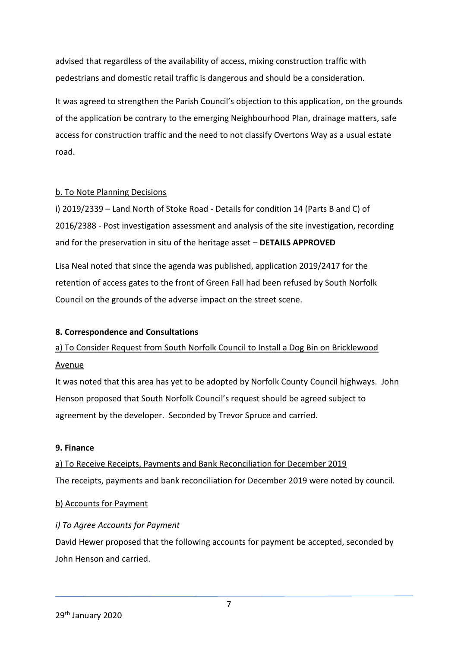advised that regardless of the availability of access, mixing construction traffic with pedestrians and domestic retail traffic is dangerous and should be a consideration.

It was agreed to strengthen the Parish Council's objection to this application, on the grounds of the application be contrary to the emerging Neighbourhood Plan, drainage matters, safe access for construction traffic and the need to not classify Overtons Way as a usual estate road.

### b. To Note Planning Decisions

i) 2019/2339 – Land North of Stoke Road - Details for condition 14 (Parts B and C) of 2016/2388 - Post investigation assessment and analysis of the site investigation, recording and for the preservation in situ of the heritage asset – **DETAILS APPROVED**

Lisa Neal noted that since the agenda was published, application 2019/2417 for the retention of access gates to the front of Green Fall had been refused by South Norfolk Council on the grounds of the adverse impact on the street scene.

# **8. Correspondence and Consultations**

# a) To Consider Request from South Norfolk Council to Install a Dog Bin on Bricklewood Avenue

It was noted that this area has yet to be adopted by Norfolk County Council highways. John Henson proposed that South Norfolk Council's request should be agreed subject to agreement by the developer. Seconded by Trevor Spruce and carried.

#### **9. Finance**

a) To Receive Receipts, Payments and Bank Reconciliation for December 2019 The receipts, payments and bank reconciliation for December 2019 were noted by council.

#### b) Accounts for Payment

# *i) To Agree Accounts for Payment*

David Hewer proposed that the following accounts for payment be accepted, seconded by John Henson and carried.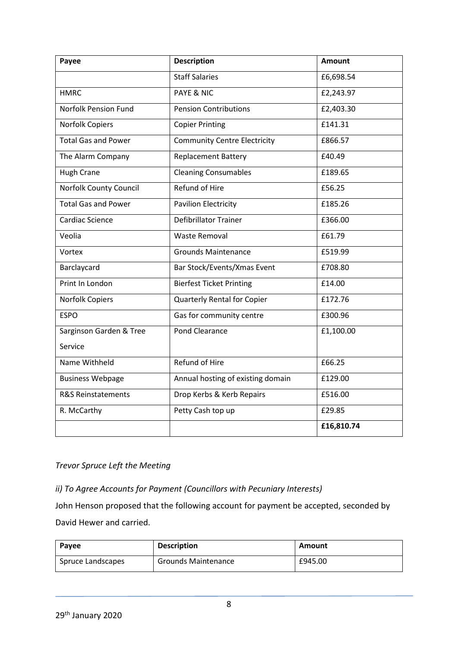| Payee                         | <b>Description</b>                  | <b>Amount</b> |
|-------------------------------|-------------------------------------|---------------|
|                               | <b>Staff Salaries</b>               | £6,698.54     |
| <b>HMRC</b>                   | <b>PAYE &amp; NIC</b>               | £2,243.97     |
| Norfolk Pension Fund          | <b>Pension Contributions</b>        | £2,403.30     |
| Norfolk Copiers               | <b>Copier Printing</b>              | £141.31       |
| <b>Total Gas and Power</b>    | <b>Community Centre Electricity</b> | £866.57       |
| The Alarm Company             | <b>Replacement Battery</b>          | £40.49        |
| Hugh Crane                    | <b>Cleaning Consumables</b>         | £189.65       |
| Norfolk County Council        | Refund of Hire                      | £56.25        |
| <b>Total Gas and Power</b>    | <b>Pavilion Electricity</b>         | £185.26       |
| Cardiac Science               | Defibrillator Trainer               | £366.00       |
| Veolia                        | <b>Waste Removal</b>                | £61.79        |
| Vortex                        | <b>Grounds Maintenance</b>          | £519.99       |
| Barclaycard                   | Bar Stock/Events/Xmas Event         | £708.80       |
| Print In London               | <b>Bierfest Ticket Printing</b>     | £14.00        |
| <b>Norfolk Copiers</b>        | <b>Quarterly Rental for Copier</b>  | £172.76       |
| <b>ESPO</b>                   | Gas for community centre            | £300.96       |
| Sarginson Garden & Tree       | Pond Clearance                      | £1,100.00     |
| Service                       |                                     |               |
| Name Withheld                 | <b>Refund of Hire</b>               | £66.25        |
| <b>Business Webpage</b>       | Annual hosting of existing domain   | £129.00       |
| <b>R&amp;S Reinstatements</b> | Drop Kerbs & Kerb Repairs           | £516.00       |
| R. McCarthy                   | Petty Cash top up                   | £29.85        |
|                               |                                     | £16,810.74    |

### *Trevor Spruce Left the Meeting*

*ii) To Agree Accounts for Payment (Councillors with Pecuniary Interests)*

John Henson proposed that the following account for payment be accepted, seconded by David Hewer and carried.

| Payee             | <b>Description</b>         | Amount  |
|-------------------|----------------------------|---------|
| Spruce Landscapes | <b>Grounds Maintenance</b> | £945.00 |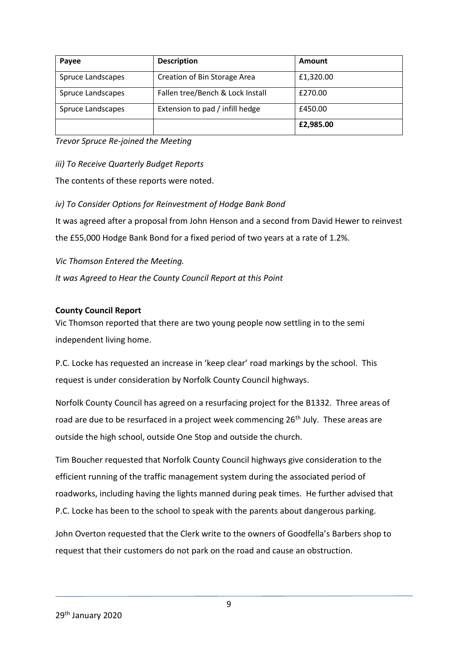| Payee             | <b>Description</b>               | Amount    |
|-------------------|----------------------------------|-----------|
| Spruce Landscapes | Creation of Bin Storage Area     | £1,320.00 |
| Spruce Landscapes | Fallen tree/Bench & Lock Install | £270.00   |
| Spruce Landscapes | Extension to pad / infill hedge  | £450.00   |
|                   |                                  | £2,985.00 |

*Trevor Spruce Re-joined the Meeting*

*iii) To Receive Quarterly Budget Reports*

The contents of these reports were noted.

*iv) To Consider Options for Reinvestment of Hodge Bank Bond*

It was agreed after a proposal from John Henson and a second from David Hewer to reinvest the £55,000 Hodge Bank Bond for a fixed period of two years at a rate of 1.2%.

*Vic Thomson Entered the Meeting.*

*It was Agreed to Hear the County Council Report at this Point*

### **County Council Report**

Vic Thomson reported that there are two young people now settling in to the semi independent living home.

P.C. Locke has requested an increase in 'keep clear' road markings by the school. This request is under consideration by Norfolk County Council highways.

Norfolk County Council has agreed on a resurfacing project for the B1332. Three areas of road are due to be resurfaced in a project week commencing 26<sup>th</sup> July. These areas are outside the high school, outside One Stop and outside the church.

Tim Boucher requested that Norfolk County Council highways give consideration to the efficient running of the traffic management system during the associated period of roadworks, including having the lights manned during peak times. He further advised that P.C. Locke has been to the school to speak with the parents about dangerous parking.

John Overton requested that the Clerk write to the owners of Goodfella's Barbers shop to request that their customers do not park on the road and cause an obstruction.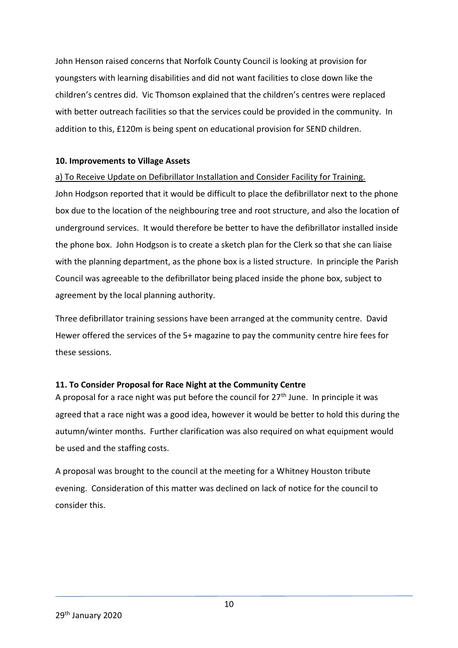John Henson raised concerns that Norfolk County Council is looking at provision for youngsters with learning disabilities and did not want facilities to close down like the children's centres did. Vic Thomson explained that the children's centres were replaced with better outreach facilities so that the services could be provided in the community. In addition to this, £120m is being spent on educational provision for SEND children.

#### **10. Improvements to Village Assets**

a) To Receive Update on Defibrillator Installation and Consider Facility for Training. John Hodgson reported that it would be difficult to place the defibrillator next to the phone box due to the location of the neighbouring tree and root structure, and also the location of underground services. It would therefore be better to have the defibrillator installed inside the phone box. John Hodgson is to create a sketch plan for the Clerk so that she can liaise with the planning department, as the phone box is a listed structure. In principle the Parish Council was agreeable to the defibrillator being placed inside the phone box, subject to agreement by the local planning authority.

Three defibrillator training sessions have been arranged at the community centre. David Hewer offered the services of the 5+ magazine to pay the community centre hire fees for these sessions.

# **11. To Consider Proposal for Race Night at the Community Centre**

A proposal for a race night was put before the council for  $27<sup>th</sup>$  June. In principle it was agreed that a race night was a good idea, however it would be better to hold this during the autumn/winter months. Further clarification was also required on what equipment would be used and the staffing costs.

A proposal was brought to the council at the meeting for a Whitney Houston tribute evening. Consideration of this matter was declined on lack of notice for the council to consider this.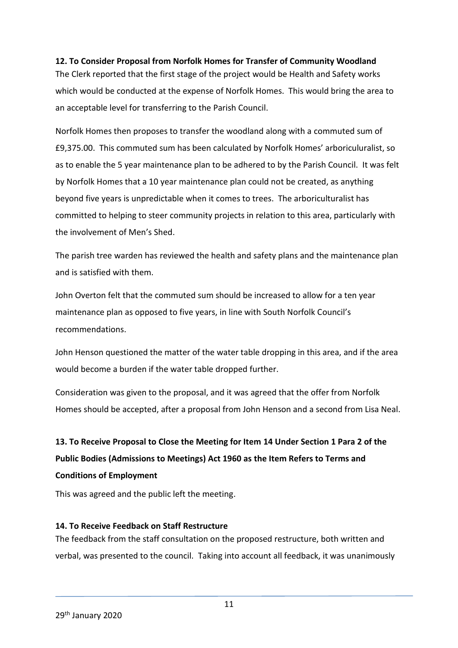### **12. To Consider Proposal from Norfolk Homes for Transfer of Community Woodland**

The Clerk reported that the first stage of the project would be Health and Safety works which would be conducted at the expense of Norfolk Homes. This would bring the area to an acceptable level for transferring to the Parish Council.

Norfolk Homes then proposes to transfer the woodland along with a commuted sum of £9,375.00. This commuted sum has been calculated by Norfolk Homes' arboriculuralist, so as to enable the 5 year maintenance plan to be adhered to by the Parish Council. It was felt by Norfolk Homes that a 10 year maintenance plan could not be created, as anything beyond five years is unpredictable when it comes to trees. The arboriculturalist has committed to helping to steer community projects in relation to this area, particularly with the involvement of Men's Shed.

The parish tree warden has reviewed the health and safety plans and the maintenance plan and is satisfied with them.

John Overton felt that the commuted sum should be increased to allow for a ten year maintenance plan as opposed to five years, in line with South Norfolk Council's recommendations.

John Henson questioned the matter of the water table dropping in this area, and if the area would become a burden if the water table dropped further.

Consideration was given to the proposal, and it was agreed that the offer from Norfolk Homes should be accepted, after a proposal from John Henson and a second from Lisa Neal.

# **13. To Receive Proposal to Close the Meeting for Item 14 Under Section 1 Para 2 of the Public Bodies (Admissions to Meetings) Act 1960 as the Item Refers to Terms and Conditions of Employment**

This was agreed and the public left the meeting.

#### **14. To Receive Feedback on Staff Restructure**

The feedback from the staff consultation on the proposed restructure, both written and verbal, was presented to the council. Taking into account all feedback, it was unanimously